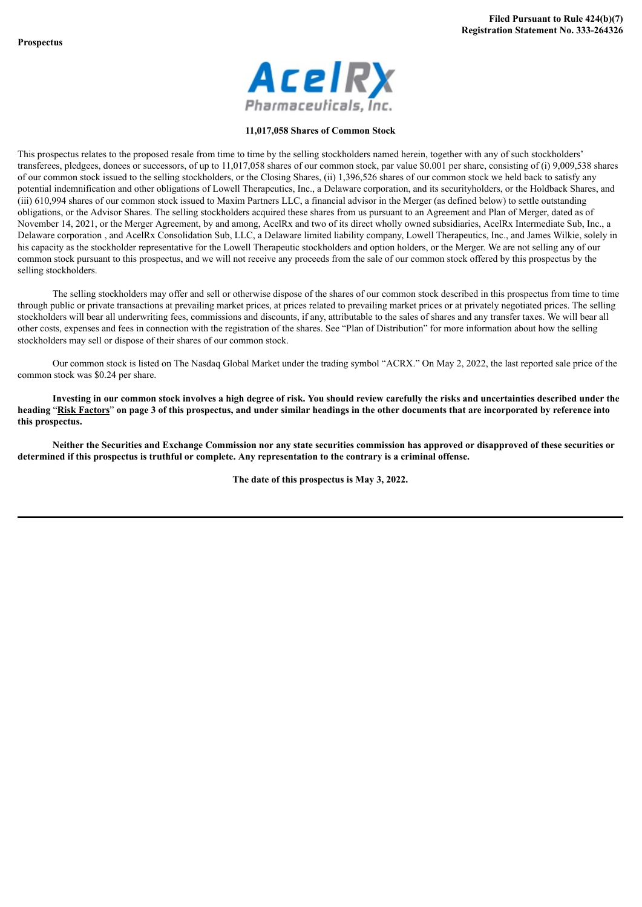

### **11,017,058 Shares of Common Stock**

This prospectus relates to the proposed resale from time to time by the selling stockholders named herein, together with any of such stockholders' transferees, pledgees, donees or successors, of up to 11,017,058 shares of our common stock, par value \$0.001 per share, consisting of (i) 9,009,538 shares of our common stock issued to the selling stockholders, or the Closing Shares, (ii) 1,396,526 shares of our common stock we held back to satisfy any potential indemnification and other obligations of Lowell Therapeutics, Inc., a Delaware corporation, and its securityholders, or the Holdback Shares, and (iii) 610,994 shares of our common stock issued to Maxim Partners LLC, a financial advisor in the Merger (as defined below) to settle outstanding obligations, or the Advisor Shares. The selling stockholders acquired these shares from us pursuant to an Agreement and Plan of Merger, dated as of November 14, 2021, or the Merger Agreement, by and among, AcelRx and two of its direct wholly owned subsidiaries, AcelRx Intermediate Sub, Inc., a Delaware corporation , and AcelRx Consolidation Sub, LLC, a Delaware limited liability company, Lowell Therapeutics, Inc., and James Wilkie, solely in his capacity as the stockholder representative for the Lowell Therapeutic stockholders and option holders, or the Merger. We are not selling any of our common stock pursuant to this prospectus, and we will not receive any proceeds from the sale of our common stock offered by this prospectus by the selling stockholders.

The selling stockholders may offer and sell or otherwise dispose of the shares of our common stock described in this prospectus from time to time through public or private transactions at prevailing market prices, at prices related to prevailing market prices or at privately negotiated prices. The selling stockholders will bear all underwriting fees, commissions and discounts, if any, attributable to the sales of shares and any transfer taxes. We will bear all other costs, expenses and fees in connection with the registration of the shares. See "Plan of Distribution" for more information about how the selling stockholders may sell or dispose of their shares of our common stock.

Our common stock is listed on The Nasdaq Global Market under the trading symbol "ACRX." On May 2, 2022, the last reported sale price of the common stock was \$0.24 per share.

Investing in our common stock involves a high degree of risk. You should review carefully the risks and uncertainties described under the heading "Risk Factors" on page 3 of this prospectus, and under similar headings in the other documents that are incorporated by reference into **this prospectus.**

Neither the Securities and Exchange Commission nor any state securities commission has approved or disapproved of these securities or determined if this prospectus is truthful or complete. Any representation to the contrary is a criminal offense.

**The date of this prospectus is May 3, 2022.**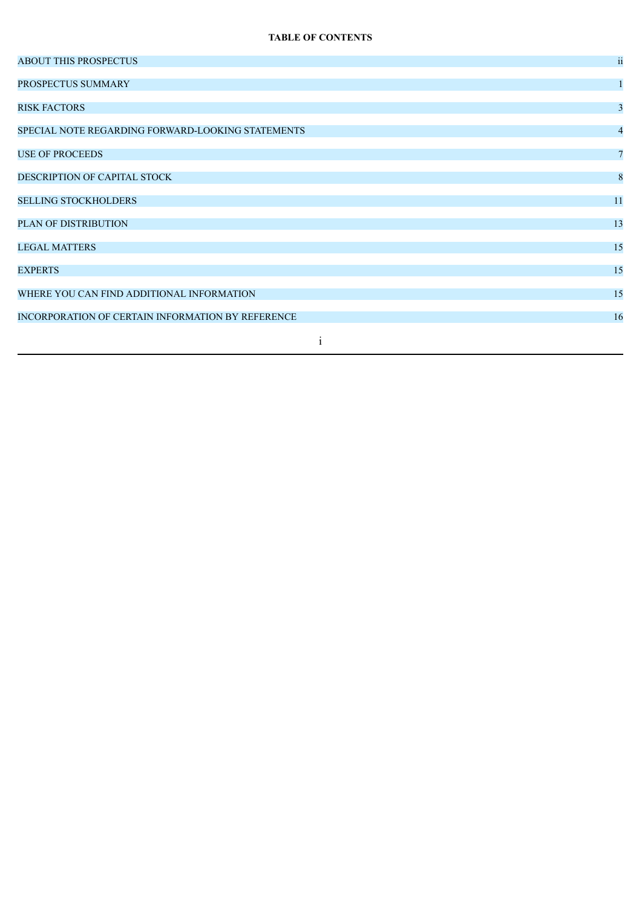# **TABLE OF CONTENTS**

| <b>ABOUT THIS PROSPECTUS</b>                      | $\ddot{\rm n}$          |
|---------------------------------------------------|-------------------------|
| PROSPECTUS SUMMARY                                | $\mathbf{1}$            |
| <b>RISK FACTORS</b>                               | $\overline{\mathbf{3}}$ |
| SPECIAL NOTE REGARDING FORWARD-LOOKING STATEMENTS | $\overline{4}$          |
| <b>USE OF PROCEEDS</b>                            | $\overline{7}$          |
| DESCRIPTION OF CAPITAL STOCK                      | 8                       |
| <b>SELLING STOCKHOLDERS</b>                       | 11                      |
| <b>PLAN OF DISTRIBUTION</b>                       | 13                      |
| <b>LEGAL MATTERS</b>                              | 15                      |
| <b>EXPERTS</b>                                    | 15                      |
| WHERE YOU CAN FIND ADDITIONAL INFORMATION         | 15                      |
| INCORPORATION OF CERTAIN INFORMATION BY REFERENCE | 16                      |
| 1                                                 |                         |
|                                                   |                         |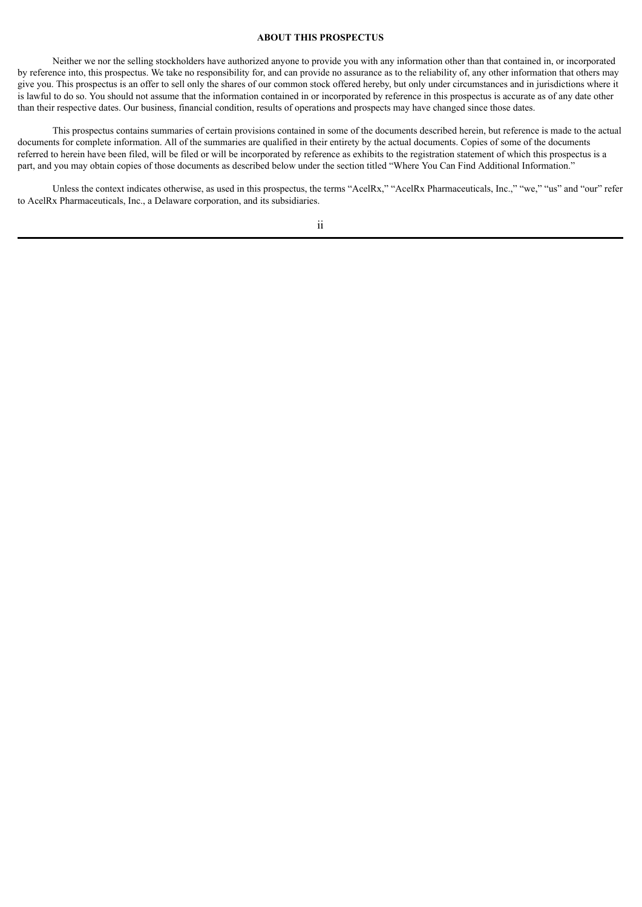# **ABOUT THIS PROSPECTUS**

Neither we nor the selling stockholders have authorized anyone to provide you with any information other than that contained in, or incorporated by reference into, this prospectus. We take no responsibility for, and can provide no assurance as to the reliability of, any other information that others may give you. This prospectus is an offer to sell only the shares of our common stock offered hereby, but only under circumstances and in jurisdictions where it is lawful to do so. You should not assume that the information contained in or incorporated by reference in this prospectus is accurate as of any date other than their respective dates. Our business, financial condition, results of operations and prospects may have changed since those dates.

This prospectus contains summaries of certain provisions contained in some of the documents described herein, but reference is made to the actual documents for complete information. All of the summaries are qualified in their entirety by the actual documents. Copies of some of the documents referred to herein have been filed, will be filed or will be incorporated by reference as exhibits to the registration statement of which this prospectus is a part, and you may obtain copies of those documents as described below under the section titled "Where You Can Find Additional Information."

Unless the context indicates otherwise, as used in this prospectus, the terms "AcelRx," "AcelRx Pharmaceuticals, Inc.," "we," "us" and "our" refer to AcelRx Pharmaceuticals, Inc., a Delaware corporation, and its subsidiaries.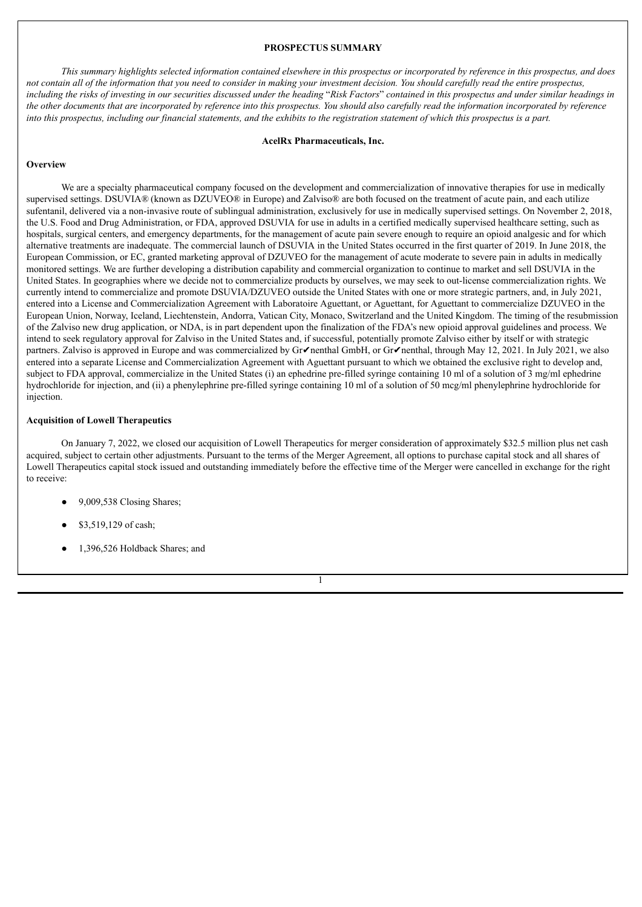#### **PROSPECTUS SUMMARY**

This summary highlights selected information contained elsewhere in this prospectus or incorporated by reference in this prospectus, and does not contain all of the information that you need to consider in making your investment decision. You should carefully read the entire prospectus, including the risks of investing in our securities discussed under the heading "Risk Factors" contained in this prospectus and under similar headings in the other documents that are incorporated by reference into this prospectus. You should also carefully read the information incorporated by reference into this prospectus, including our financial statements, and the exhibits to the registration statement of which this prospectus is a part.

# **AcelRx Pharmaceuticals, Inc.**

### **Overview**

We are a specialty pharmaceutical company focused on the development and commercialization of innovative therapies for use in medically supervised settings. DSUVIA® (known as DZUVEO® in Europe) and Zalviso® are both focused on the treatment of acute pain, and each utilize sufentanil, delivered via a non-invasive route of sublingual administration, exclusively for use in medically supervised settings. On November 2, 2018, the U.S. Food and Drug Administration, or FDA, approved DSUVIA for use in adults in a certified medically supervised healthcare setting, such as hospitals, surgical centers, and emergency departments, for the management of acute pain severe enough to require an opioid analgesic and for which alternative treatments are inadequate. The commercial launch of DSUVIA in the United States occurred in the first quarter of 2019. In June 2018, the European Commission, or EC, granted marketing approval of DZUVEO for the management of acute moderate to severe pain in adults in medically monitored settings. We are further developing a distribution capability and commercial organization to continue to market and sell DSUVIA in the United States. In geographies where we decide not to commercialize products by ourselves, we may seek to out-license commercialization rights. We currently intend to commercialize and promote DSUVIA/DZUVEO outside the United States with one or more strategic partners, and, in July 2021, entered into a License and Commercialization Agreement with Laboratoire Aguettant, or Aguettant, for Aguettant to commercialize DZUVEO in the European Union, Norway, Iceland, Liechtenstein, Andorra, Vatican City, Monaco, Switzerland and the United Kingdom. The timing of the resubmission of the Zalviso new drug application, or NDA, is in part dependent upon the finalization of the FDA's new opioid approval guidelines and process. We intend to seek regulatory approval for Zalviso in the United States and, if successful, potentially promote Zalviso either by itself or with strategic partners. Zalviso is approved in Europe and was commercialized by Gr✔nenthal GmbH, or Gr✔nenthal, through May 12, 2021. In July 2021, we also entered into a separate License and Commercialization Agreement with Aguettant pursuant to which we obtained the exclusive right to develop and, subject to FDA approval, commercialize in the United States (i) an ephedrine pre-filled syringe containing 10 ml of a solution of 3 mg/ml ephedrine hydrochloride for injection, and (ii) a phenylephrine pre-filled syringe containing 10 ml of a solution of 50 mcg/ml phenylephrine hydrochloride for injection.

#### **Acquisition of Lowell Therapeutics**

On January 7, 2022, we closed our acquisition of Lowell Therapeutics for merger consideration of approximately \$32.5 million plus net cash acquired, subject to certain other adjustments. Pursuant to the terms of the Merger Agreement, all options to purchase capital stock and all shares of Lowell Therapeutics capital stock issued and outstanding immediately before the effective time of the Merger were cancelled in exchange for the right to receive:

- 9,009,538 Closing Shares;
- \$3,519,129 of cash;
- 1,396,526 Holdback Shares; and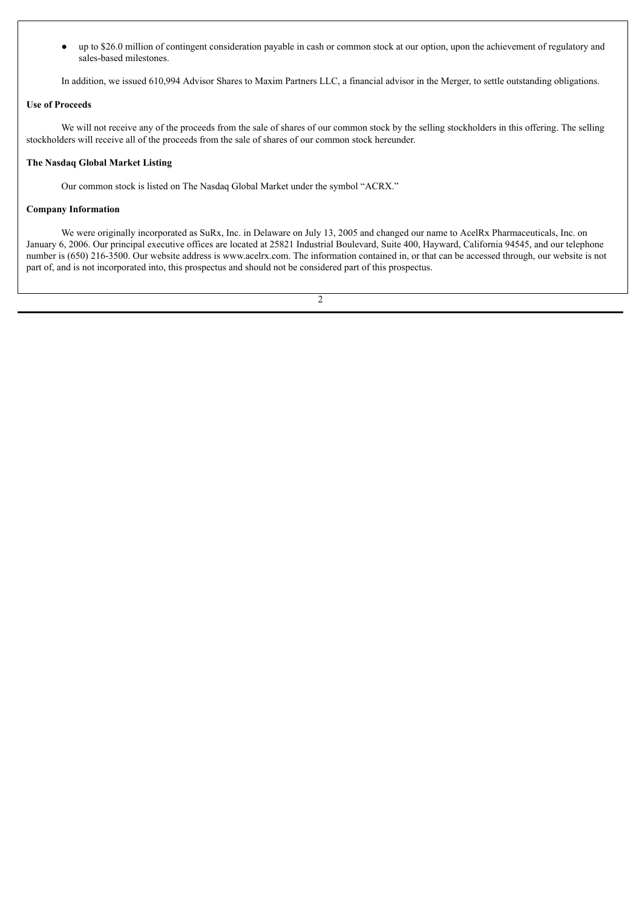● up to \$26.0 million of contingent consideration payable in cash or common stock at our option, upon the achievement of regulatory and sales-based milestones.

In addition, we issued 610,994 Advisor Shares to Maxim Partners LLC, a financial advisor in the Merger, to settle outstanding obligations.

# **Use of Proceeds**

We will not receive any of the proceeds from the sale of shares of our common stock by the selling stockholders in this offering. The selling stockholders will receive all of the proceeds from the sale of shares of our common stock hereunder.

## **The Nasdaq Global Market Listing**

Our common stock is listed on The Nasdaq Global Market under the symbol "ACRX."

# **Company Information**

We were originally incorporated as SuRx, Inc. in Delaware on July 13, 2005 and changed our name to AcelRx Pharmaceuticals, Inc. on January 6, 2006. Our principal executive offices are located at 25821 Industrial Boulevard, Suite 400, Hayward, California 94545, and our telephone number is (650) 216-3500. Our website address is www.acelrx.com. The information contained in, or that can be accessed through, our website is not part of, and is not incorporated into, this prospectus and should not be considered part of this prospectus.

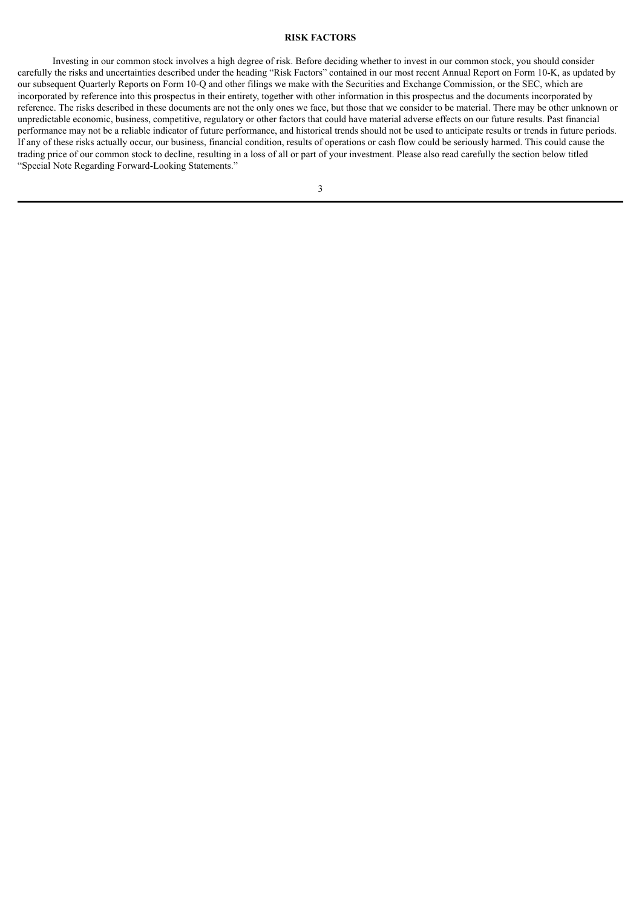#### **RISK FACTORS**

Investing in our common stock involves a high degree of risk. Before deciding whether to invest in our common stock, you should consider carefully the risks and uncertainties described under the heading "Risk Factors" contained in our most recent Annual Report on Form 10-K, as updated by our subsequent Quarterly Reports on Form 10-Q and other filings we make with the Securities and Exchange Commission, or the SEC, which are incorporated by reference into this prospectus in their entirety, together with other information in this prospectus and the documents incorporated by reference. The risks described in these documents are not the only ones we face, but those that we consider to be material. There may be other unknown or unpredictable economic, business, competitive, regulatory or other factors that could have material adverse effects on our future results. Past financial performance may not be a reliable indicator of future performance, and historical trends should not be used to anticipate results or trends in future periods. If any of these risks actually occur, our business, financial condition, results of operations or cash flow could be seriously harmed. This could cause the trading price of our common stock to decline, resulting in a loss of all or part of your investment. Please also read carefully the section below titled "Special Note Regarding Forward-Looking Statements."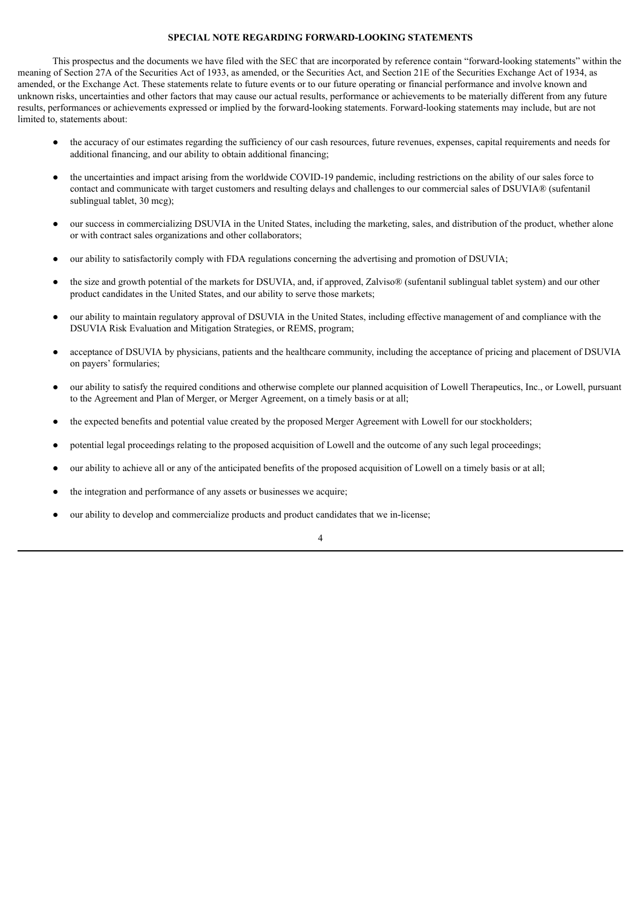# **SPECIAL NOTE REGARDING FORWARD-LOOKING STATEMENTS**

This prospectus and the documents we have filed with the SEC that are incorporated by reference contain "forward-looking statements" within the meaning of Section 27A of the Securities Act of 1933, as amended, or the Securities Act, and Section 21E of the Securities Exchange Act of 1934, as amended, or the Exchange Act. These statements relate to future events or to our future operating or financial performance and involve known and unknown risks, uncertainties and other factors that may cause our actual results, performance or achievements to be materially different from any future results, performances or achievements expressed or implied by the forward-looking statements. Forward-looking statements may include, but are not limited to, statements about:

- the accuracy of our estimates regarding the sufficiency of our cash resources, future revenues, expenses, capital requirements and needs for additional financing, and our ability to obtain additional financing;
- the uncertainties and impact arising from the worldwide COVID-19 pandemic, including restrictions on the ability of our sales force to contact and communicate with target customers and resulting delays and challenges to our commercial sales of DSUVIA® (sufentanil sublingual tablet, 30 mcg);
- our success in commercializing DSUVIA in the United States, including the marketing, sales, and distribution of the product, whether alone or with contract sales organizations and other collaborators;
- our ability to satisfactorily comply with FDA regulations concerning the advertising and promotion of DSUVIA;
- the size and growth potential of the markets for DSUVIA, and, if approved, Zalviso® (sufentanil sublingual tablet system) and our other product candidates in the United States, and our ability to serve those markets;
- our ability to maintain regulatory approval of DSUVIA in the United States, including effective management of and compliance with the DSUVIA Risk Evaluation and Mitigation Strategies, or REMS, program;
- acceptance of DSUVIA by physicians, patients and the healthcare community, including the acceptance of pricing and placement of DSUVIA on payers' formularies;
- our ability to satisfy the required conditions and otherwise complete our planned acquisition of Lowell Therapeutics, Inc., or Lowell, pursuant to the Agreement and Plan of Merger, or Merger Agreement, on a timely basis or at all;
- the expected benefits and potential value created by the proposed Merger Agreement with Lowell for our stockholders;
- potential legal proceedings relating to the proposed acquisition of Lowell and the outcome of any such legal proceedings;
- our ability to achieve all or any of the anticipated benefits of the proposed acquisition of Lowell on a timely basis or at all;
- the integration and performance of any assets or businesses we acquire;
- our ability to develop and commercialize products and product candidates that we in-license;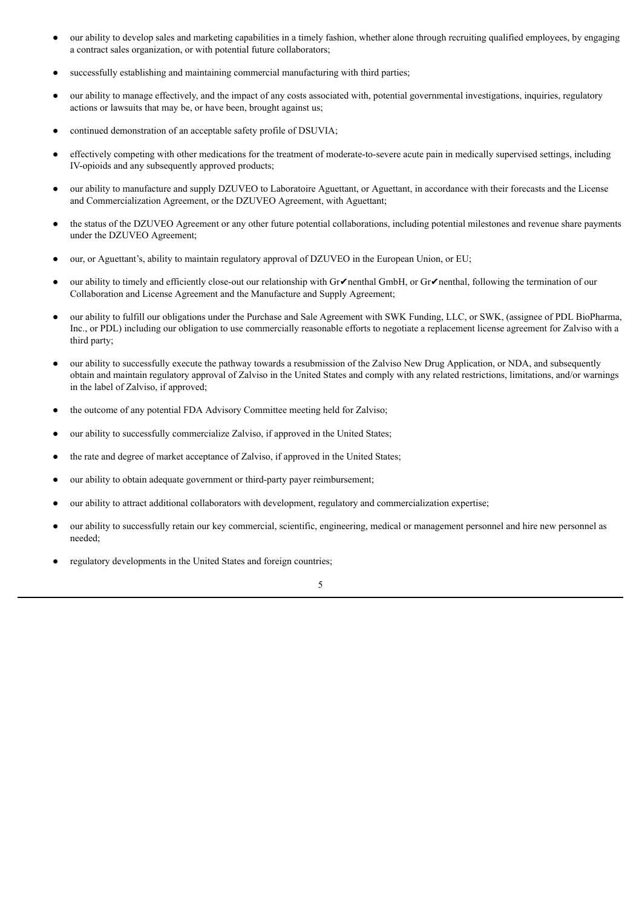- our ability to develop sales and marketing capabilities in a timely fashion, whether alone through recruiting qualified employees, by engaging a contract sales organization, or with potential future collaborators;
- successfully establishing and maintaining commercial manufacturing with third parties;
- our ability to manage effectively, and the impact of any costs associated with, potential governmental investigations, inquiries, regulatory actions or lawsuits that may be, or have been, brought against us;
- continued demonstration of an acceptable safety profile of DSUVIA;
- effectively competing with other medications for the treatment of moderate-to-severe acute pain in medically supervised settings, including IV-opioids and any subsequently approved products;
- our ability to manufacture and supply DZUVEO to Laboratoire Aguettant, or Aguettant, in accordance with their forecasts and the License and Commercialization Agreement, or the DZUVEO Agreement, with Aguettant;
- the status of the DZUVEO Agreement or any other future potential collaborations, including potential milestones and revenue share payments under the DZUVEO Agreement;
- our, or Aguettant's, ability to maintain regulatory approval of DZUVEO in the European Union, or EU;
- our ability to timely and efficiently close-out our relationship with Gr√nenthal GmbH, or Gr√nenthal, following the termination of our Collaboration and License Agreement and the Manufacture and Supply Agreement;
- our ability to fulfill our obligations under the Purchase and Sale Agreement with SWK Funding, LLC, or SWK, (assignee of PDL BioPharma, Inc., or PDL) including our obligation to use commercially reasonable efforts to negotiate a replacement license agreement for Zalviso with a third party;
- our ability to successfully execute the pathway towards a resubmission of the Zalviso New Drug Application, or NDA, and subsequently obtain and maintain regulatory approval of Zalviso in the United States and comply with any related restrictions, limitations, and/or warnings in the label of Zalviso, if approved;
- the outcome of any potential FDA Advisory Committee meeting held for Zalviso;
- our ability to successfully commercialize Zalviso, if approved in the United States;
- the rate and degree of market acceptance of Zalviso, if approved in the United States;
- our ability to obtain adequate government or third-party payer reimbursement;
- our ability to attract additional collaborators with development, regulatory and commercialization expertise;
- our ability to successfully retain our key commercial, scientific, engineering, medical or management personnel and hire new personnel as needed;
- regulatory developments in the United States and foreign countries;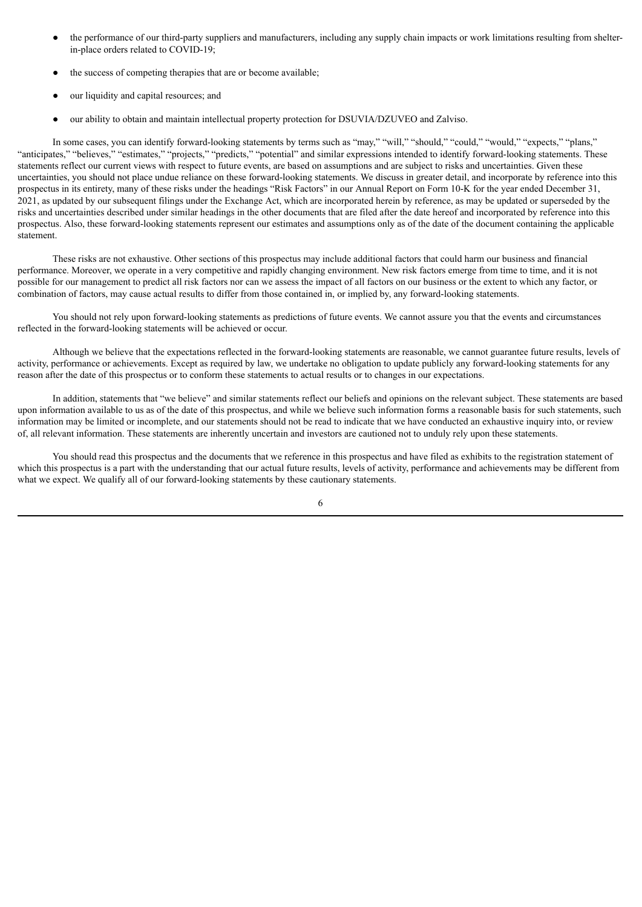- the performance of our third-party suppliers and manufacturers, including any supply chain impacts or work limitations resulting from shelterin-place orders related to COVID-19;
- the success of competing therapies that are or become available;
- our liquidity and capital resources; and
- our ability to obtain and maintain intellectual property protection for DSUVIA/DZUVEO and Zalviso.

In some cases, you can identify forward-looking statements by terms such as "may," "will," "should," "could," "would," "expects," "plans," "anticipates," "believes," "estimates," "projects," "predicts," "potential" and similar expressions intended to identify forward-looking statements. These statements reflect our current views with respect to future events, are based on assumptions and are subject to risks and uncertainties. Given these uncertainties, you should not place undue reliance on these forward-looking statements. We discuss in greater detail, and incorporate by reference into this prospectus in its entirety, many of these risks under the headings "Risk Factors" in our Annual Report on Form 10-K for the year ended December 31, 2021, as updated by our subsequent filings under the Exchange Act, which are incorporated herein by reference, as may be updated or superseded by the risks and uncertainties described under similar headings in the other documents that are filed after the date hereof and incorporated by reference into this prospectus. Also, these forward-looking statements represent our estimates and assumptions only as of the date of the document containing the applicable statement.

These risks are not exhaustive. Other sections of this prospectus may include additional factors that could harm our business and financial performance. Moreover, we operate in a very competitive and rapidly changing environment. New risk factors emerge from time to time, and it is not possible for our management to predict all risk factors nor can we assess the impact of all factors on our business or the extent to which any factor, or combination of factors, may cause actual results to differ from those contained in, or implied by, any forward-looking statements.

You should not rely upon forward-looking statements as predictions of future events. We cannot assure you that the events and circumstances reflected in the forward-looking statements will be achieved or occur.

Although we believe that the expectations reflected in the forward-looking statements are reasonable, we cannot guarantee future results, levels of activity, performance or achievements. Except as required by law, we undertake no obligation to update publicly any forward-looking statements for any reason after the date of this prospectus or to conform these statements to actual results or to changes in our expectations.

In addition, statements that "we believe" and similar statements reflect our beliefs and opinions on the relevant subject. These statements are based upon information available to us as of the date of this prospectus, and while we believe such information forms a reasonable basis for such statements, such information may be limited or incomplete, and our statements should not be read to indicate that we have conducted an exhaustive inquiry into, or review of, all relevant information. These statements are inherently uncertain and investors are cautioned not to unduly rely upon these statements.

You should read this prospectus and the documents that we reference in this prospectus and have filed as exhibits to the registration statement of which this prospectus is a part with the understanding that our actual future results, levels of activity, performance and achievements may be different from what we expect. We qualify all of our forward-looking statements by these cautionary statements.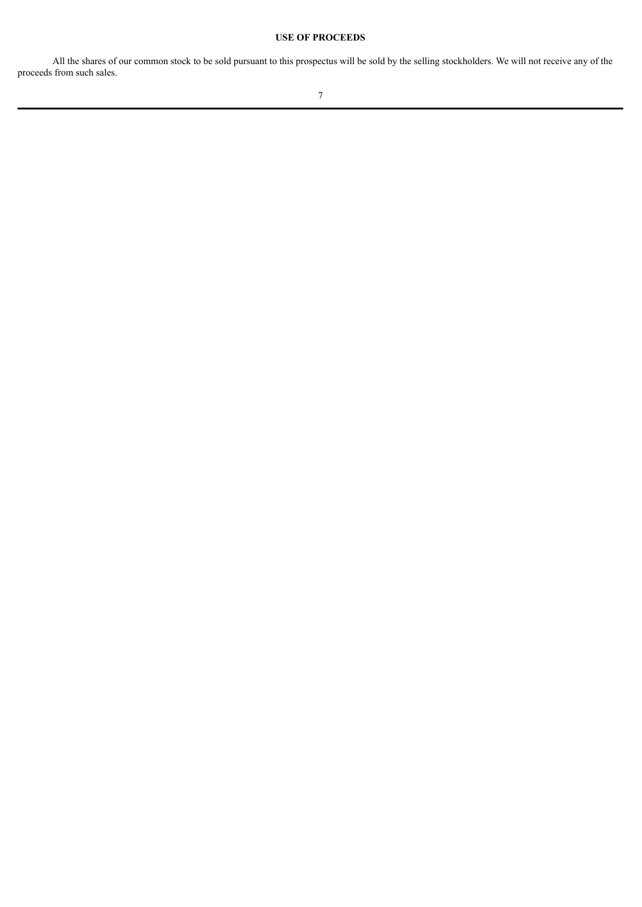# **USE OF PROCEEDS**

All the shares of our common stock to be sold pursuant to this prospectus will be sold by the selling stockholders. We will not receive any of the proceeds from such sales.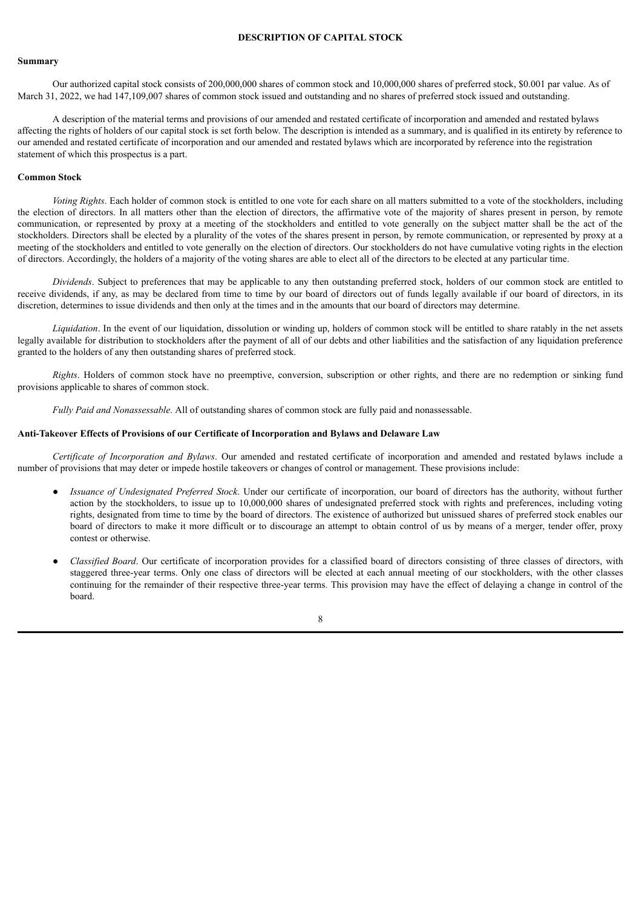# **DESCRIPTION OF CAPITAL STOCK**

#### **Summary**

Our authorized capital stock consists of 200,000,000 shares of common stock and 10,000,000 shares of preferred stock, \$0.001 par value. As of March 31, 2022, we had 147,109,007 shares of common stock issued and outstanding and no shares of preferred stock issued and outstanding.

A description of the material terms and provisions of our amended and restated certificate of incorporation and amended and restated bylaws affecting the rights of holders of our capital stock is set forth below. The description is intended as a summary, and is qualified in its entirety by reference to our amended and restated certificate of incorporation and our amended and restated bylaws which are incorporated by reference into the registration statement of which this prospectus is a part.

# **Common Stock**

*Voting Rights*. Each holder of common stock is entitled to one vote for each share on all matters submitted to a vote of the stockholders, including the election of directors. In all matters other than the election of directors, the affirmative vote of the majority of shares present in person, by remote communication, or represented by proxy at a meeting of the stockholders and entitled to vote generally on the subject matter shall be the act of the stockholders. Directors shall be elected by a plurality of the votes of the shares present in person, by remote communication, or represented by proxy at a meeting of the stockholders and entitled to vote generally on the election of directors. Our stockholders do not have cumulative voting rights in the election of directors. Accordingly, the holders of a majority of the voting shares are able to elect all of the directors to be elected at any particular time.

*Dividends*. Subject to preferences that may be applicable to any then outstanding preferred stock, holders of our common stock are entitled to receive dividends, if any, as may be declared from time to time by our board of directors out of funds legally available if our board of directors, in its discretion, determines to issue dividends and then only at the times and in the amounts that our board of directors may determine.

*Liquidation*. In the event of our liquidation, dissolution or winding up, holders of common stock will be entitled to share ratably in the net assets legally available for distribution to stockholders after the payment of all of our debts and other liabilities and the satisfaction of any liquidation preference granted to the holders of any then outstanding shares of preferred stock.

*Rights*. Holders of common stock have no preemptive, conversion, subscription or other rights, and there are no redemption or sinking fund provisions applicable to shares of common stock.

*Fully Paid and Nonassessable*. All of outstanding shares of common stock are fully paid and nonassessable.

### **Anti-Takeover Effects of Provisions of our Certificate of Incorporation and Bylaws and Delaware Law**

*Certificate of Incorporation and Bylaws*. Our amended and restated certificate of incorporation and amended and restated bylaws include a number of provisions that may deter or impede hostile takeovers or changes of control or management. These provisions include:

- *Issuance of Undesignated Preferred Stock*. Under our certificate of incorporation, our board of directors has the authority, without further action by the stockholders, to issue up to 10,000,000 shares of undesignated preferred stock with rights and preferences, including voting rights, designated from time to time by the board of directors. The existence of authorized but unissued shares of preferred stock enables our board of directors to make it more difficult or to discourage an attempt to obtain control of us by means of a merger, tender offer, proxy contest or otherwise.
- *Classified Board*. Our certificate of incorporation provides for a classified board of directors consisting of three classes of directors, with staggered three-year terms. Only one class of directors will be elected at each annual meeting of our stockholders, with the other classes continuing for the remainder of their respective three-year terms. This provision may have the effect of delaying a change in control of the board.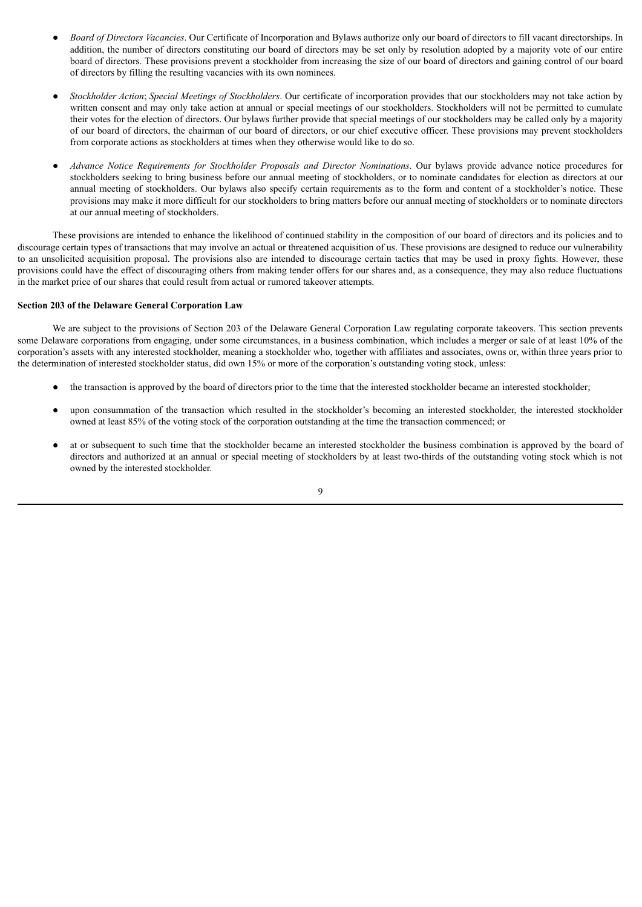- *Board of Directors Vacancies*. Our Certificate of Incorporation and Bylaws authorize only our board of directors to fill vacant directorships. In addition, the number of directors constituting our board of directors may be set only by resolution adopted by a majority vote of our entire board of directors. These provisions prevent a stockholder from increasing the size of our board of directors and gaining control of our board of directors by filling the resulting vacancies with its own nominees.
- *Stockholder Action*; *Special Meetings of Stockholders*. Our certificate of incorporation provides that our stockholders may not take action by written consent and may only take action at annual or special meetings of our stockholders. Stockholders will not be permitted to cumulate their votes for the election of directors. Our bylaws further provide that special meetings of our stockholders may be called only by a majority of our board of directors, the chairman of our board of directors, or our chief executive officer. These provisions may prevent stockholders from corporate actions as stockholders at times when they otherwise would like to do so.
- *Advance Notice Requirements for Stockholder Proposals and Director Nominations*. Our bylaws provide advance notice procedures for stockholders seeking to bring business before our annual meeting of stockholders, or to nominate candidates for election as directors at our annual meeting of stockholders. Our bylaws also specify certain requirements as to the form and content of a stockholder's notice. These provisions may make it more difficult for our stockholders to bring matters before our annual meeting of stockholders or to nominate directors at our annual meeting of stockholders.

These provisions are intended to enhance the likelihood of continued stability in the composition of our board of directors and its policies and to discourage certain types of transactions that may involve an actual or threatened acquisition of us. These provisions are designed to reduce our vulnerability to an unsolicited acquisition proposal. The provisions also are intended to discourage certain tactics that may be used in proxy fights. However, these provisions could have the effect of discouraging others from making tender offers for our shares and, as a consequence, they may also reduce fluctuations in the market price of our shares that could result from actual or rumored takeover attempts.

## **Section 203 of the Delaware General Corporation Law**

We are subject to the provisions of Section 203 of the Delaware General Corporation Law regulating corporate takeovers. This section prevents some Delaware corporations from engaging, under some circumstances, in a business combination, which includes a merger or sale of at least 10% of the corporation's assets with any interested stockholder, meaning a stockholder who, together with affiliates and associates, owns or, within three years prior to the determination of interested stockholder status, did own 15% or more of the corporation's outstanding voting stock, unless:

- the transaction is approved by the board of directors prior to the time that the interested stockholder became an interested stockholder;
- upon consummation of the transaction which resulted in the stockholder's becoming an interested stockholder, the interested stockholder owned at least 85% of the voting stock of the corporation outstanding at the time the transaction commenced; or
- at or subsequent to such time that the stockholder became an interested stockholder the business combination is approved by the board of directors and authorized at an annual or special meeting of stockholders by at least two-thirds of the outstanding voting stock which is not owned by the interested stockholder.

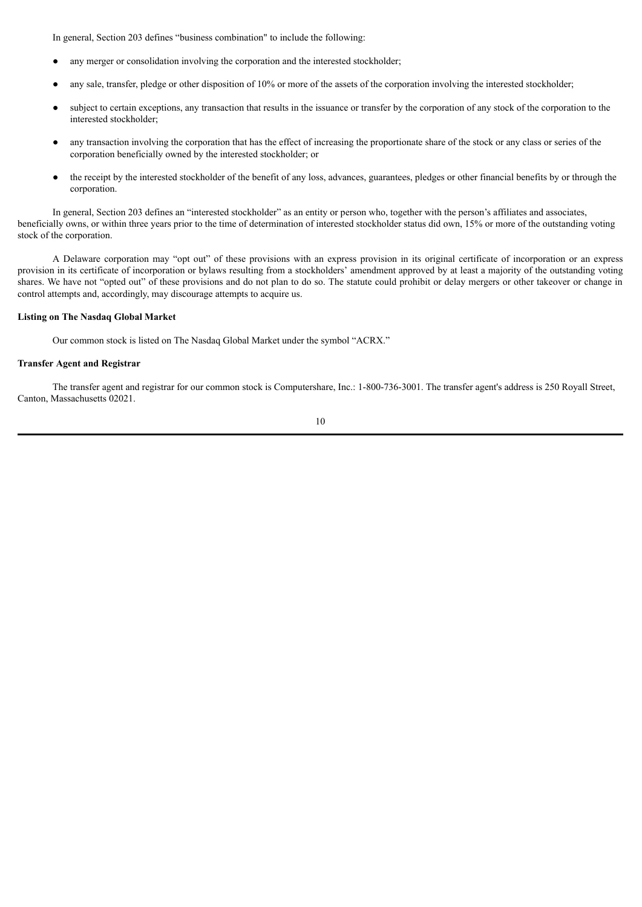In general, Section 203 defines "business combination" to include the following:

- any merger or consolidation involving the corporation and the interested stockholder;
- any sale, transfer, pledge or other disposition of 10% or more of the assets of the corporation involving the interested stockholder;
- subject to certain exceptions, any transaction that results in the issuance or transfer by the corporation of any stock of the corporation to the interested stockholder;
- any transaction involving the corporation that has the effect of increasing the proportionate share of the stock or any class or series of the corporation beneficially owned by the interested stockholder; or
- the receipt by the interested stockholder of the benefit of any loss, advances, guarantees, pledges or other financial benefits by or through the corporation.

In general, Section 203 defines an "interested stockholder" as an entity or person who, together with the person's affiliates and associates, beneficially owns, or within three years prior to the time of determination of interested stockholder status did own, 15% or more of the outstanding voting stock of the corporation.

A Delaware corporation may "opt out" of these provisions with an express provision in its original certificate of incorporation or an express provision in its certificate of incorporation or bylaws resulting from a stockholders' amendment approved by at least a majority of the outstanding voting shares. We have not "opted out" of these provisions and do not plan to do so. The statute could prohibit or delay mergers or other takeover or change in control attempts and, accordingly, may discourage attempts to acquire us.

#### **Listing on The Nasdaq Global Market**

Our common stock is listed on The Nasdaq Global Market under the symbol "ACRX."

# **Transfer Agent and Registrar**

The transfer agent and registrar for our common stock is Computershare, Inc.: 1-800-736-3001. The transfer agent's address is 250 Royall Street, Canton, Massachusetts 02021.

10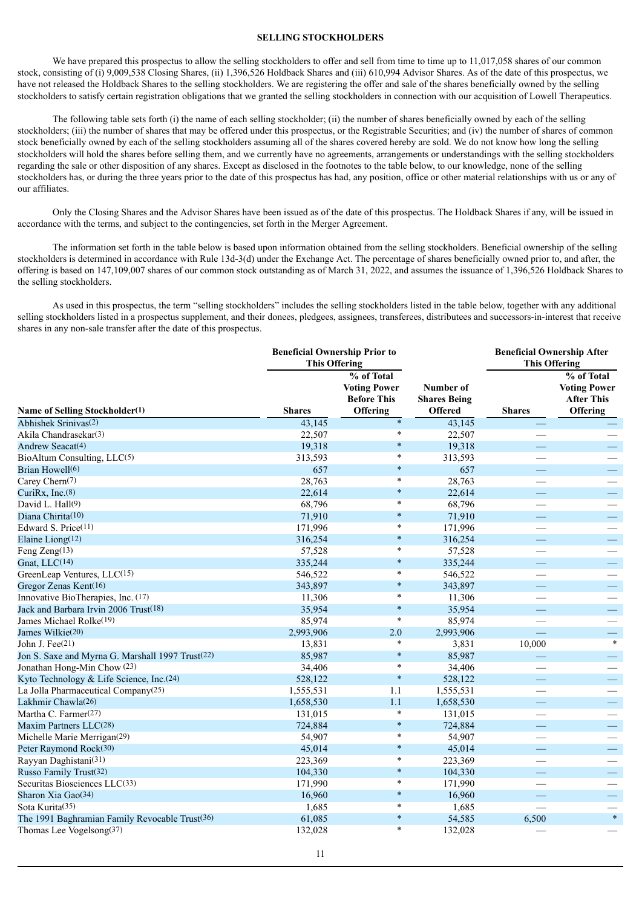## **SELLING STOCKHOLDERS**

We have prepared this prospectus to allow the selling stockholders to offer and sell from time to time up to 11,017,058 shares of our common stock, consisting of (i) 9,009,538 Closing Shares, (ii) 1,396,526 Holdback Shares and (iii) 610,994 Advisor Shares. As of the date of this prospectus, we have not released the Holdback Shares to the selling stockholders. We are registering the offer and sale of the shares beneficially owned by the selling stockholders to satisfy certain registration obligations that we granted the selling stockholders in connection with our acquisition of Lowell Therapeutics.

The following table sets forth (i) the name of each selling stockholder; (ii) the number of shares beneficially owned by each of the selling stockholders; (iii) the number of shares that may be offered under this prospectus, or the Registrable Securities; and (iv) the number of shares of common stock beneficially owned by each of the selling stockholders assuming all of the shares covered hereby are sold. We do not know how long the selling stockholders will hold the shares before selling them, and we currently have no agreements, arrangements or understandings with the selling stockholders regarding the sale or other disposition of any shares. Except as disclosed in the footnotes to the table below, to our knowledge, none of the selling stockholders has, or during the three years prior to the date of this prospectus has had, any position, office or other material relationships with us or any of our affiliates.

Only the Closing Shares and the Advisor Shares have been issued as of the date of this prospectus. The Holdback Shares if any, will be issued in accordance with the terms, and subject to the contingencies, set forth in the Merger Agreement.

The information set forth in the table below is based upon information obtained from the selling stockholders. Beneficial ownership of the selling stockholders is determined in accordance with Rule 13d-3(d) under the Exchange Act. The percentage of shares beneficially owned prior to, and after, the offering is based on 147,109,007 shares of our common stock outstanding as of March 31, 2022, and assumes the issuance of 1,396,526 Holdback Shares to the selling stockholders.

As used in this prospectus, the term "selling stockholders" includes the selling stockholders listed in the table below, together with any additional selling stockholders listed in a prospectus supplement, and their donees, pledgees, assignees, transferees, distributees and successors-in-interest that receive shares in any non-sale transfer after the date of this prospectus.

|                                                  | <b>Beneficial Ownership Prior to</b><br><b>This Offering</b> |                                                                            |                                                    | <b>Beneficial Ownership After</b><br><b>This Offering</b> |                                                                           |
|--------------------------------------------------|--------------------------------------------------------------|----------------------------------------------------------------------------|----------------------------------------------------|-----------------------------------------------------------|---------------------------------------------------------------------------|
| Name of Selling Stockholder(1)                   | <b>Shares</b>                                                | % of Total<br><b>Voting Power</b><br><b>Before This</b><br><b>Offering</b> | Number of<br><b>Shares Being</b><br><b>Offered</b> | <b>Shares</b>                                             | % of Total<br><b>Voting Power</b><br><b>After This</b><br><b>Offering</b> |
| Abhishek Srinivas <sup>(2)</sup>                 | 43,145                                                       | $\ast$                                                                     | 43,145                                             |                                                           |                                                                           |
| Akila Chandrasekar <sup>(3)</sup>                | 22,507                                                       | $\ast$                                                                     | 22,507                                             |                                                           |                                                                           |
| Andrew Seacat <sup>(4)</sup>                     | 19,318                                                       | $\ast$                                                                     | 19,318                                             |                                                           | $\overline{\phantom{0}}$                                                  |
| BioAltum Consulting, LLC(5)                      | 313,593                                                      | $\ast$                                                                     | 313,593                                            |                                                           |                                                                           |
| Brian Howell(6)                                  | 657                                                          | $\ast$                                                                     | 657                                                | $\overline{\phantom{0}}$                                  |                                                                           |
| Carey Chern <sup>(7)</sup>                       | 28,763                                                       | $\ast$                                                                     | 28,763                                             |                                                           |                                                                           |
| CuriRx, Inc.(8)                                  | 22,614                                                       | $\ast$                                                                     | 22,614                                             |                                                           | $\overline{\phantom{0}}$                                                  |
| David L. Hall(9)                                 | 68,796                                                       | $\ast$                                                                     | 68,796                                             |                                                           |                                                                           |
| Diana Chirita(10)                                | 71,910                                                       | $\ast$                                                                     | 71,910                                             | $\overline{\phantom{0}}$                                  | $\overline{\phantom{0}}$                                                  |
| Edward S. Price(11)                              | 171,996                                                      | $\ast$                                                                     | 171,996                                            | $\overline{\phantom{0}}$                                  |                                                                           |
| Elaine Liong(12)                                 | 316,254                                                      | $\ast$                                                                     | 316,254                                            | $\overline{\phantom{0}}$                                  | $\overline{\phantom{0}}$                                                  |
| Feng Zeng(13)                                    | 57,528                                                       | $\ast$                                                                     | 57,528                                             |                                                           |                                                                           |
| Gnat, LLC(14)                                    | 335,244                                                      | $\ast$                                                                     | 335,244                                            |                                                           | $\overline{\phantom{0}}$                                                  |
| GreenLeap Ventures, LLC(15)                      | 546,522                                                      | $\ast$                                                                     | 546,522                                            | $\overline{\phantom{0}}$                                  |                                                                           |
| Gregor Zenas Kent(16)                            | 343,897                                                      | $\ast$                                                                     | 343,897                                            | $\equiv$                                                  | $\overline{\phantom{0}}$                                                  |
| Innovative BioTherapies, Inc. (17)               | 11,306                                                       | $\ast$                                                                     | 11,306                                             |                                                           |                                                                           |
| Jack and Barbara Irvin 2006 Trust(18)            | 35,954                                                       | $\ast$                                                                     | 35,954                                             |                                                           | $\overline{\phantom{0}}$                                                  |
| James Michael Rolke(19)                          | 85,974                                                       | $\ast$                                                                     | 85,974                                             |                                                           |                                                                           |
| James Wilkie(20)                                 | 2,993,906                                                    | 2.0                                                                        | 2,993,906                                          | $\equiv$                                                  |                                                                           |
| John J. $\text{Fee}(21)$                         | 13,831                                                       | $\ast$                                                                     | 3,831                                              | 10,000                                                    | $\ast$                                                                    |
| Jon S. Saxe and Myrna G. Marshall 1997 Trust(22) | 85,987                                                       | $\ast$                                                                     | 85,987                                             |                                                           | —                                                                         |
| Jonathan Hong-Min Chow (23)                      | 34,406                                                       | $\ast$                                                                     | 34,406                                             |                                                           |                                                                           |
| Kyto Technology & Life Science, Inc.(24)         | 528,122                                                      | $\ast$                                                                     | 528,122                                            |                                                           |                                                                           |
| La Jolla Pharmaceutical Company(25)              | 1,555,531                                                    | 1.1                                                                        | 1,555,531                                          |                                                           |                                                                           |
| Lakhmir Chawla(26)                               | 1,658,530                                                    | 1.1                                                                        | 1,658,530                                          | $\overline{\phantom{0}}$                                  | $\overline{\phantom{0}}$                                                  |
| Martha C. Farmer(27)                             | 131,015                                                      | $\ast$                                                                     | 131,015                                            |                                                           |                                                                           |
| Maxim Partners LLC(28)                           | 724,884                                                      | $\ast$                                                                     | 724,884                                            |                                                           | $\overline{\phantom{0}}$                                                  |
| Michelle Marie Merrigan(29)                      | 54,907                                                       | $\ast$                                                                     | 54,907                                             |                                                           |                                                                           |
| Peter Raymond Rock(30)                           | 45,014                                                       | $\ast$                                                                     | 45,014                                             |                                                           | $\overline{\phantom{0}}$                                                  |
| Rayyan Daghistani(31)                            | 223,369                                                      | $\ast$                                                                     | 223,369                                            |                                                           |                                                                           |
| Russo Family Trust(32)                           | 104,330                                                      | $\ast$                                                                     | 104,330                                            |                                                           | $\overline{\phantom{0}}$                                                  |
| Securitas Biosciences LLC(33)                    | 171,990                                                      | $\ast$                                                                     | 171,990                                            |                                                           |                                                                           |
| Sharon Xia Gao(34)                               | 16,960                                                       | $\ast$                                                                     | 16,960                                             | $\equiv$                                                  | $\overline{\phantom{0}}$                                                  |
| Sota Kurita <sup>(35)</sup>                      | 1,685                                                        | $\ast$                                                                     | 1,685                                              |                                                           |                                                                           |
| The 1991 Baghramian Family Revocable Trust(36)   | 61,085                                                       | $\ast$                                                                     | 54,585                                             | 6,500                                                     | $\ast$                                                                    |
| Thomas Lee Vogelsong(37)                         | 132,028                                                      | $\ast$                                                                     | 132,028                                            |                                                           |                                                                           |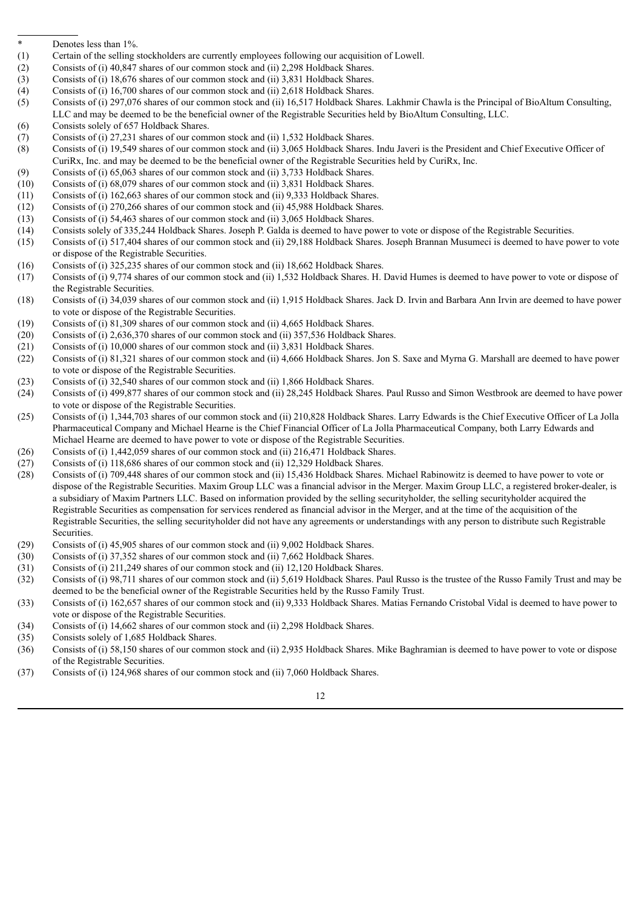- Denotes less than 1%.
- (1) Certain of the selling stockholders are currently employees following our acquisition of Lowell.
- (2) Consists of (i) 40,847 shares of our common stock and (ii) 2,298 Holdback Shares.
- (3) Consists of (i) 18,676 shares of our common stock and (ii) 3,831 Holdback Shares.
- (4) Consists of (i) 16,700 shares of our common stock and (ii) 2,618 Holdback Shares.
- (5) Consists of (i) 297,076 shares of our common stock and (ii) 16,517 Holdback Shares. Lakhmir Chawla is the Principal of BioAltum Consulting, LLC and may be deemed to be the beneficial owner of the Registrable Securities held by BioAltum Consulting, LLC.
- (6) Consists solely of 657 Holdback Shares.
- (7) Consists of (i) 27,231 shares of our common stock and (ii) 1,532 Holdback Shares.
- (8) Consists of (i) 19,549 shares of our common stock and (ii) 3,065 Holdback Shares. Indu Javeri is the President and Chief Executive Officer of CuriRx, Inc. and may be deemed to be the beneficial owner of the Registrable Securities held by CuriRx, Inc.
- (9) Consists of (i) 65,063 shares of our common stock and (ii) 3,733 Holdback Shares.
- (10) Consists of (i) 68,079 shares of our common stock and (ii) 3,831 Holdback Shares.
- (11) Consists of (i) 162,663 shares of our common stock and (ii) 9,333 Holdback Shares.
- (12) Consists of (i) 270,266 shares of our common stock and (ii) 45,988 Holdback Shares.
- (13) Consists of (i) 54,463 shares of our common stock and (ii) 3,065 Holdback Shares.
- (14) Consists solely of 335,244 Holdback Shares. Joseph P. Galda is deemed to have power to vote or dispose of the Registrable Securities.
- (15) Consists of (i) 517,404 shares of our common stock and (ii) 29,188 Holdback Shares. Joseph Brannan Musumeci is deemed to have power to vote or dispose of the Registrable Securities.
- (16) Consists of (i) 325,235 shares of our common stock and (ii) 18,662 Holdback Shares.
- (17) Consists of (i) 9,774 shares of our common stock and (ii) 1,532 Holdback Shares. H. David Humes is deemed to have power to vote or dispose of the Registrable Securities.
- (18) Consists of (i) 34,039 shares of our common stock and (ii) 1,915 Holdback Shares. Jack D. Irvin and Barbara Ann Irvin are deemed to have power to vote or dispose of the Registrable Securities.
- (19) Consists of (i) 81,309 shares of our common stock and (ii) 4,665 Holdback Shares.
- (20) Consists of (i) 2,636,370 shares of our common stock and (ii) 357,536 Holdback Shares.
- (21) Consists of (i) 10,000 shares of our common stock and (ii) 3,831 Holdback Shares.
- (22) Consists of (i) 81,321 shares of our common stock and (ii) 4,666 Holdback Shares. Jon S. Saxe and Myrna G. Marshall are deemed to have power to vote or dispose of the Registrable Securities.
- (23) Consists of (i) 32,540 shares of our common stock and (ii) 1,866 Holdback Shares.
- (24) Consists of (i) 499,877 shares of our common stock and (ii) 28,245 Holdback Shares. Paul Russo and Simon Westbrook are deemed to have power to vote or dispose of the Registrable Securities.
- (25) Consists of (i) 1,344,703 shares of our common stock and (ii) 210,828 Holdback Shares. Larry Edwards is the Chief Executive Officer of La Jolla Pharmaceutical Company and Michael Hearne is the Chief Financial Officer of La Jolla Pharmaceutical Company, both Larry Edwards and Michael Hearne are deemed to have power to vote or dispose of the Registrable Securities.
- (26) Consists of (i) 1,442,059 shares of our common stock and (ii) 216,471 Holdback Shares.
- (27) Consists of (i) 118,686 shares of our common stock and (ii) 12,329 Holdback Shares.
- (28) Consists of (i) 709,448 shares of our common stock and (ii) 15,436 Holdback Shares. Michael Rabinowitz is deemed to have power to vote or dispose of the Registrable Securities. Maxim Group LLC was a financial advisor in the Merger. Maxim Group LLC, a registered broker-dealer, is a subsidiary of Maxim Partners LLC. Based on information provided by the selling securityholder, the selling securityholder acquired the Registrable Securities as compensation for services rendered as financial advisor in the Merger, and at the time of the acquisition of the Registrable Securities, the selling securityholder did not have any agreements or understandings with any person to distribute such Registrable Securities.
- (29) Consists of (i) 45,905 shares of our common stock and (ii) 9,002 Holdback Shares.
- (30) Consists of (i) 37,352 shares of our common stock and (ii) 7,662 Holdback Shares.
- (31) Consists of (i) 211,249 shares of our common stock and (ii) 12,120 Holdback Shares.
- (32) Consists of (i) 98,711 shares of our common stock and (ii) 5,619 Holdback Shares. Paul Russo is the trustee of the Russo Family Trust and may be deemed to be the beneficial owner of the Registrable Securities held by the Russo Family Trust.
- (33) Consists of (i) 162,657 shares of our common stock and (ii) 9,333 Holdback Shares. Matias Fernando Cristobal Vidal is deemed to have power to vote or dispose of the Registrable Securities.
- (34) Consists of (i) 14,662 shares of our common stock and (ii) 2,298 Holdback Shares.
- (35) Consists solely of 1,685 Holdback Shares.
- (36) Consists of (i) 58,150 shares of our common stock and (ii) 2,935 Holdback Shares. Mike Baghramian is deemed to have power to vote or dispose of the Registrable Securities.
- (37) Consists of (i) 124,968 shares of our common stock and (ii) 7,060 Holdback Shares.
	- 12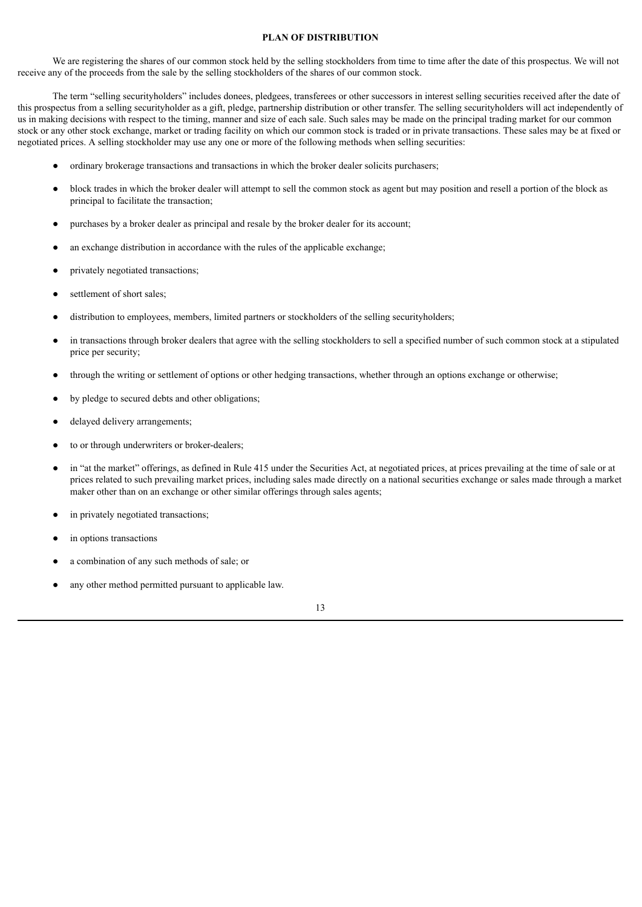## **PLAN OF DISTRIBUTION**

We are registering the shares of our common stock held by the selling stockholders from time to time after the date of this prospectus. We will not receive any of the proceeds from the sale by the selling stockholders of the shares of our common stock.

The term "selling securityholders" includes donees, pledgees, transferees or other successors in interest selling securities received after the date of this prospectus from a selling securityholder as a gift, pledge, partnership distribution or other transfer. The selling securityholders will act independently of us in making decisions with respect to the timing, manner and size of each sale. Such sales may be made on the principal trading market for our common stock or any other stock exchange, market or trading facility on which our common stock is traded or in private transactions. These sales may be at fixed or negotiated prices. A selling stockholder may use any one or more of the following methods when selling securities:

- ordinary brokerage transactions and transactions in which the broker dealer solicits purchasers;
- block trades in which the broker dealer will attempt to sell the common stock as agent but may position and resell a portion of the block as principal to facilitate the transaction;
- purchases by a broker dealer as principal and resale by the broker dealer for its account;
- an exchange distribution in accordance with the rules of the applicable exchange;
- privately negotiated transactions;
- settlement of short sales:
- distribution to employees, members, limited partners or stockholders of the selling securityholders;
- in transactions through broker dealers that agree with the selling stockholders to sell a specified number of such common stock at a stipulated price per security;
- through the writing or settlement of options or other hedging transactions, whether through an options exchange or otherwise;
- by pledge to secured debts and other obligations;
- delayed delivery arrangements;
- to or through underwriters or broker-dealers;
- in "at the market" offerings, as defined in Rule 415 under the Securities Act, at negotiated prices, at prices prevailing at the time of sale or at prices related to such prevailing market prices, including sales made directly on a national securities exchange or sales made through a market maker other than on an exchange or other similar offerings through sales agents;
- in privately negotiated transactions:
- in options transactions
- a combination of any such methods of sale; or
- any other method permitted pursuant to applicable law.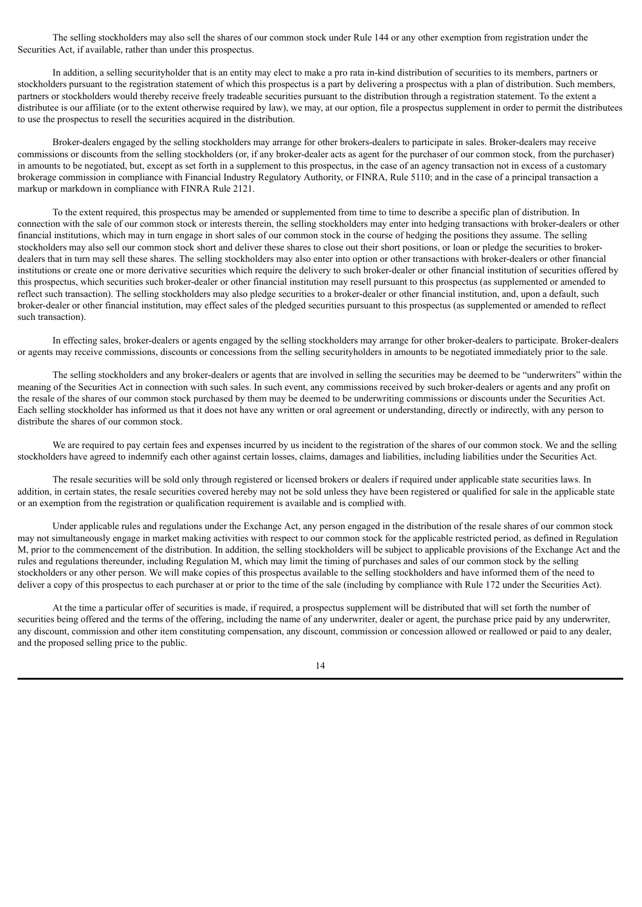The selling stockholders may also sell the shares of our common stock under Rule 144 or any other exemption from registration under the Securities Act, if available, rather than under this prospectus.

In addition, a selling securityholder that is an entity may elect to make a pro rata in-kind distribution of securities to its members, partners or stockholders pursuant to the registration statement of which this prospectus is a part by delivering a prospectus with a plan of distribution. Such members, partners or stockholders would thereby receive freely tradeable securities pursuant to the distribution through a registration statement. To the extent a distributee is our affiliate (or to the extent otherwise required by law), we may, at our option, file a prospectus supplement in order to permit the distributees to use the prospectus to resell the securities acquired in the distribution.

Broker-dealers engaged by the selling stockholders may arrange for other brokers-dealers to participate in sales. Broker-dealers may receive commissions or discounts from the selling stockholders (or, if any broker-dealer acts as agent for the purchaser of our common stock, from the purchaser) in amounts to be negotiated, but, except as set forth in a supplement to this prospectus, in the case of an agency transaction not in excess of a customary brokerage commission in compliance with Financial Industry Regulatory Authority, or FINRA, Rule 5110; and in the case of a principal transaction a markup or markdown in compliance with FINRA Rule 2121.

To the extent required, this prospectus may be amended or supplemented from time to time to describe a specific plan of distribution. In connection with the sale of our common stock or interests therein, the selling stockholders may enter into hedging transactions with broker-dealers or other financial institutions, which may in turn engage in short sales of our common stock in the course of hedging the positions they assume. The selling stockholders may also sell our common stock short and deliver these shares to close out their short positions, or loan or pledge the securities to brokerdealers that in turn may sell these shares. The selling stockholders may also enter into option or other transactions with broker-dealers or other financial institutions or create one or more derivative securities which require the delivery to such broker-dealer or other financial institution of securities offered by this prospectus, which securities such broker-dealer or other financial institution may resell pursuant to this prospectus (as supplemented or amended to reflect such transaction). The selling stockholders may also pledge securities to a broker-dealer or other financial institution, and, upon a default, such broker-dealer or other financial institution, may effect sales of the pledged securities pursuant to this prospectus (as supplemented or amended to reflect such transaction).

In effecting sales, broker-dealers or agents engaged by the selling stockholders may arrange for other broker-dealers to participate. Broker-dealers or agents may receive commissions, discounts or concessions from the selling securityholders in amounts to be negotiated immediately prior to the sale.

The selling stockholders and any broker-dealers or agents that are involved in selling the securities may be deemed to be "underwriters" within the meaning of the Securities Act in connection with such sales. In such event, any commissions received by such broker-dealers or agents and any profit on the resale of the shares of our common stock purchased by them may be deemed to be underwriting commissions or discounts under the Securities Act. Each selling stockholder has informed us that it does not have any written or oral agreement or understanding, directly or indirectly, with any person to distribute the shares of our common stock.

We are required to pay certain fees and expenses incurred by us incident to the registration of the shares of our common stock. We and the selling stockholders have agreed to indemnify each other against certain losses, claims, damages and liabilities, including liabilities under the Securities Act.

The resale securities will be sold only through registered or licensed brokers or dealers if required under applicable state securities laws. In addition, in certain states, the resale securities covered hereby may not be sold unless they have been registered or qualified for sale in the applicable state or an exemption from the registration or qualification requirement is available and is complied with.

Under applicable rules and regulations under the Exchange Act, any person engaged in the distribution of the resale shares of our common stock may not simultaneously engage in market making activities with respect to our common stock for the applicable restricted period, as defined in Regulation M, prior to the commencement of the distribution. In addition, the selling stockholders will be subject to applicable provisions of the Exchange Act and the rules and regulations thereunder, including Regulation M, which may limit the timing of purchases and sales of our common stock by the selling stockholders or any other person. We will make copies of this prospectus available to the selling stockholders and have informed them of the need to deliver a copy of this prospectus to each purchaser at or prior to the time of the sale (including by compliance with Rule 172 under the Securities Act).

At the time a particular offer of securities is made, if required, a prospectus supplement will be distributed that will set forth the number of securities being offered and the terms of the offering, including the name of any underwriter, dealer or agent, the purchase price paid by any underwriter, any discount, commission and other item constituting compensation, any discount, commission or concession allowed or reallowed or paid to any dealer, and the proposed selling price to the public.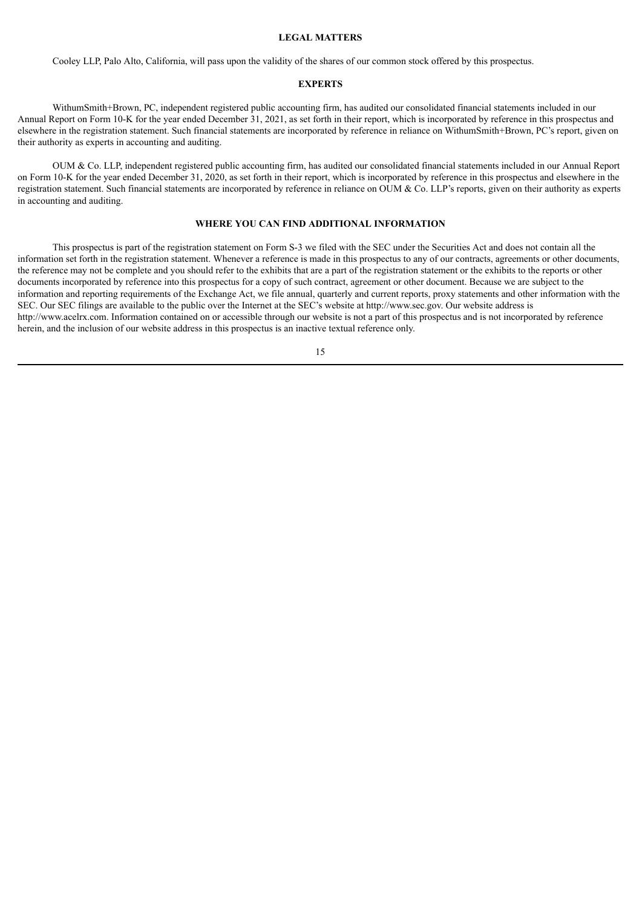#### **LEGAL MATTERS**

Cooley LLP, Palo Alto, California, will pass upon the validity of the shares of our common stock offered by this prospectus.

#### **EXPERTS**

WithumSmith+Brown, PC, independent registered public accounting firm, has audited our consolidated financial statements included in our Annual Report on Form 10-K for the year ended December 31, 2021, as set forth in their report, which is incorporated by reference in this prospectus and elsewhere in the registration statement. Such financial statements are incorporated by reference in reliance on WithumSmith+Brown, PC's report, given on their authority as experts in accounting and auditing.

OUM & Co. LLP, independent registered public accounting firm, has audited our consolidated financial statements included in our Annual Report on Form 10-K for the year ended December 31, 2020, as set forth in their report, which is incorporated by reference in this prospectus and elsewhere in the registration statement. Such financial statements are incorporated by reference in reliance on OUM & Co. LLP's reports, given on their authority as experts in accounting and auditing.

### **WHERE YOU CAN FIND ADDITIONAL INFORMATION**

This prospectus is part of the registration statement on Form S-3 we filed with the SEC under the Securities Act and does not contain all the information set forth in the registration statement. Whenever a reference is made in this prospectus to any of our contracts, agreements or other documents, the reference may not be complete and you should refer to the exhibits that are a part of the registration statement or the exhibits to the reports or other documents incorporated by reference into this prospectus for a copy of such contract, agreement or other document. Because we are subject to the information and reporting requirements of the Exchange Act, we file annual, quarterly and current reports, proxy statements and other information with the SEC. Our SEC filings are available to the public over the Internet at the SEC's website at http://www.sec.gov. Our website address is http://www.acelrx.com. Information contained on or accessible through our website is not a part of this prospectus and is not incorporated by reference herein, and the inclusion of our website address in this prospectus is an inactive textual reference only.